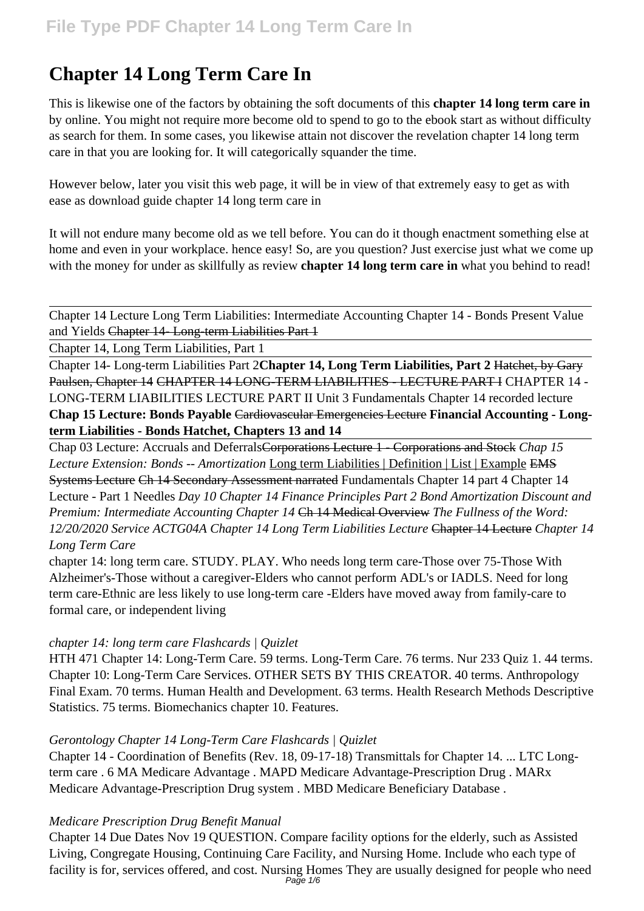# **Chapter 14 Long Term Care In**

This is likewise one of the factors by obtaining the soft documents of this **chapter 14 long term care in** by online. You might not require more become old to spend to go to the ebook start as without difficulty as search for them. In some cases, you likewise attain not discover the revelation chapter 14 long term care in that you are looking for. It will categorically squander the time.

However below, later you visit this web page, it will be in view of that extremely easy to get as with ease as download guide chapter 14 long term care in

It will not endure many become old as we tell before. You can do it though enactment something else at home and even in your workplace. hence easy! So, are you question? Just exercise just what we come up with the money for under as skillfully as review **chapter 14 long term care in** what you behind to read!

Chapter 14 Lecture Long Term Liabilities: Intermediate Accounting Chapter 14 - Bonds Present Value and Yields Chapter 14- Long-term Liabilities Part 1

Chapter 14, Long Term Liabilities, Part 1

Chapter 14- Long-term Liabilities Part 2**Chapter 14, Long Term Liabilities, Part 2** Hatchet, by Gary Paulsen, Chapter 14 CHAPTER 14 LONG-TERM LIABILITIES - LECTURE PART I CHAPTER 14 - LONG-TERM LIABILITIES LECTURE PART II Unit 3 Fundamentals Chapter 14 recorded lecture **Chap 15 Lecture: Bonds Payable** Cardiovascular Emergencies Lecture **Financial Accounting - Longterm Liabilities - Bonds Hatchet, Chapters 13 and 14**

Chap 03 Lecture: Accruals and DeferralsCorporations Lecture 1 - Corporations and Stock *Chap 15 Lecture Extension: Bonds -- Amortization* Long term Liabilities | Definition | List | Example EMS Systems Lecture Ch 14 Secondary Assessment narrated Fundamentals Chapter 14 part 4 Chapter 14 Lecture - Part 1 Needles *Day 10 Chapter 14 Finance Principles Part 2 Bond Amortization Discount and Premium: Intermediate Accounting Chapter 14* Ch 14 Medical Overview *The Fullness of the Word: 12/20/2020 Service ACTG04A Chapter 14 Long Term Liabilities Lecture* Chapter 14 Lecture *Chapter 14 Long Term Care*

chapter 14: long term care. STUDY. PLAY. Who needs long term care-Those over 75-Those With Alzheimer's-Those without a caregiver-Elders who cannot perform ADL's or IADLS. Need for long term care-Ethnic are less likely to use long-term care -Elders have moved away from family-care to formal care, or independent living

#### *chapter 14: long term care Flashcards | Quizlet*

HTH 471 Chapter 14: Long-Term Care. 59 terms. Long-Term Care. 76 terms. Nur 233 Quiz 1. 44 terms. Chapter 10: Long-Term Care Services. OTHER SETS BY THIS CREATOR. 40 terms. Anthropology Final Exam. 70 terms. Human Health and Development. 63 terms. Health Research Methods Descriptive Statistics. 75 terms. Biomechanics chapter 10. Features.

#### *Gerontology Chapter 14 Long-Term Care Flashcards | Quizlet*

Chapter 14 - Coordination of Benefits (Rev. 18, 09-17-18) Transmittals for Chapter 14. ... LTC Longterm care . 6 MA Medicare Advantage . MAPD Medicare Advantage-Prescription Drug . MARx Medicare Advantage-Prescription Drug system . MBD Medicare Beneficiary Database .

#### *Medicare Prescription Drug Benefit Manual*

Chapter 14 Due Dates Nov 19 QUESTION. Compare facility options for the elderly, such as Assisted Living, Congregate Housing, Continuing Care Facility, and Nursing Home. Include who each type of facility is for, services offered, and cost. Nursing Homes They are usually designed for people who need Page 1/6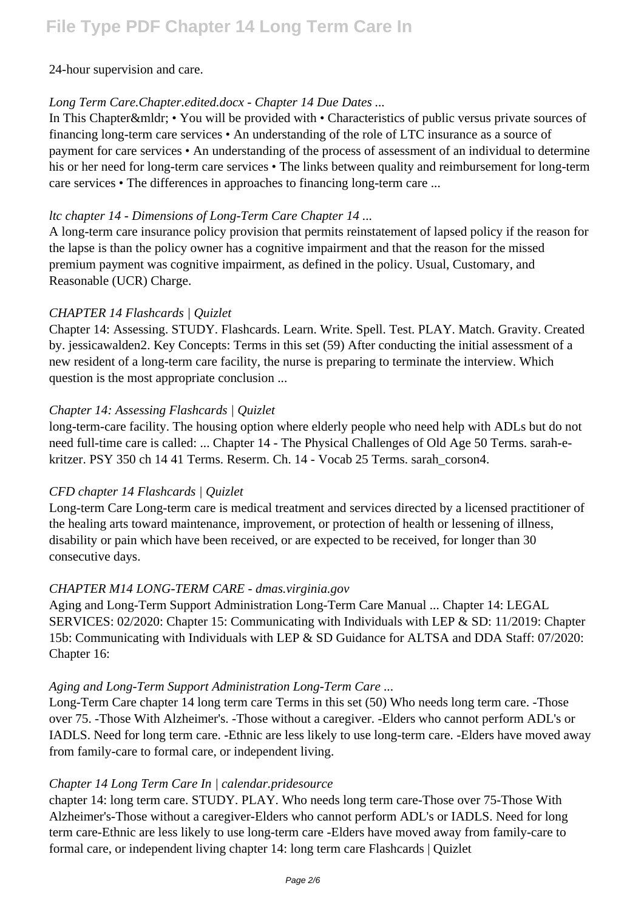#### 24-hour supervision and care.

#### *Long Term Care.Chapter.edited.docx - Chapter 14 Due Dates ...*

In This Chapter & mldr; • You will be provided with • Characteristics of public versus private sources of financing long-term care services • An understanding of the role of LTC insurance as a source of payment for care services • An understanding of the process of assessment of an individual to determine his or her need for long-term care services • The links between quality and reimbursement for long-term care services • The differences in approaches to financing long-term care ...

#### *ltc chapter 14 - Dimensions of Long-Term Care Chapter 14 ...*

A long-term care insurance policy provision that permits reinstatement of lapsed policy if the reason for the lapse is than the policy owner has a cognitive impairment and that the reason for the missed premium payment was cognitive impairment, as defined in the policy. Usual, Customary, and Reasonable (UCR) Charge.

#### *CHAPTER 14 Flashcards | Quizlet*

Chapter 14: Assessing. STUDY. Flashcards. Learn. Write. Spell. Test. PLAY. Match. Gravity. Created by. jessicawalden2. Key Concepts: Terms in this set (59) After conducting the initial assessment of a new resident of a long-term care facility, the nurse is preparing to terminate the interview. Which question is the most appropriate conclusion ...

#### *Chapter 14: Assessing Flashcards | Quizlet*

long-term-care facility. The housing option where elderly people who need help with ADLs but do not need full-time care is called: ... Chapter 14 - The Physical Challenges of Old Age 50 Terms. sarah-ekritzer. PSY 350 ch 14 41 Terms. Reserm. Ch. 14 - Vocab 25 Terms. sarah\_corson4.

#### *CFD chapter 14 Flashcards | Quizlet*

Long-term Care Long-term care is medical treatment and services directed by a licensed practitioner of the healing arts toward maintenance, improvement, or protection of health or lessening of illness, disability or pain which have been received, or are expected to be received, for longer than 30 consecutive days.

#### *CHAPTER M14 LONG-TERM CARE - dmas.virginia.gov*

Aging and Long-Term Support Administration Long-Term Care Manual ... Chapter 14: LEGAL SERVICES: 02/2020: Chapter 15: Communicating with Individuals with LEP & SD: 11/2019: Chapter 15b: Communicating with Individuals with LEP & SD Guidance for ALTSA and DDA Staff: 07/2020: Chapter 16:

#### *Aging and Long-Term Support Administration Long-Term Care ...*

Long-Term Care chapter 14 long term care Terms in this set (50) Who needs long term care. -Those over 75. -Those With Alzheimer's. -Those without a caregiver. -Elders who cannot perform ADL's or IADLS. Need for long term care. -Ethnic are less likely to use long-term care. -Elders have moved away from family-care to formal care, or independent living.

#### *Chapter 14 Long Term Care In | calendar.pridesource*

chapter 14: long term care. STUDY. PLAY. Who needs long term care-Those over 75-Those With Alzheimer's-Those without a caregiver-Elders who cannot perform ADL's or IADLS. Need for long term care-Ethnic are less likely to use long-term care -Elders have moved away from family-care to formal care, or independent living chapter 14: long term care Flashcards | Quizlet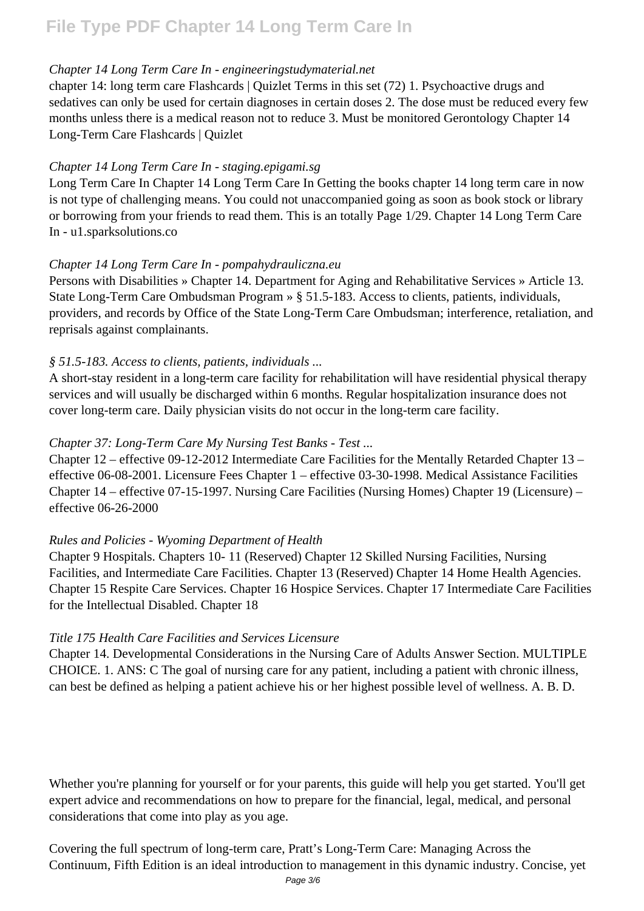#### *Chapter 14 Long Term Care In - engineeringstudymaterial.net*

chapter 14: long term care Flashcards | Quizlet Terms in this set (72) 1. Psychoactive drugs and sedatives can only be used for certain diagnoses in certain doses 2. The dose must be reduced every few months unless there is a medical reason not to reduce 3. Must be monitored Gerontology Chapter 14 Long-Term Care Flashcards | Quizlet

#### *Chapter 14 Long Term Care In - staging.epigami.sg*

Long Term Care In Chapter 14 Long Term Care In Getting the books chapter 14 long term care in now is not type of challenging means. You could not unaccompanied going as soon as book stock or library or borrowing from your friends to read them. This is an totally Page 1/29. Chapter 14 Long Term Care In - u1.sparksolutions.co

#### *Chapter 14 Long Term Care In - pompahydrauliczna.eu*

Persons with Disabilities » Chapter 14. Department for Aging and Rehabilitative Services » Article 13. State Long-Term Care Ombudsman Program » § 51.5-183. Access to clients, patients, individuals, providers, and records by Office of the State Long-Term Care Ombudsman; interference, retaliation, and reprisals against complainants.

#### *§ 51.5-183. Access to clients, patients, individuals ...*

A short-stay resident in a long-term care facility for rehabilitation will have residential physical therapy services and will usually be discharged within 6 months. Regular hospitalization insurance does not cover long-term care. Daily physician visits do not occur in the long-term care facility.

#### *Chapter 37: Long-Term Care My Nursing Test Banks - Test ...*

Chapter 12 – effective 09-12-2012 Intermediate Care Facilities for the Mentally Retarded Chapter 13 – effective 06-08-2001. Licensure Fees Chapter 1 – effective 03-30-1998. Medical Assistance Facilities Chapter 14 – effective 07-15-1997. Nursing Care Facilities (Nursing Homes) Chapter 19 (Licensure) – effective 06-26-2000

#### *Rules and Policies - Wyoming Department of Health*

Chapter 9 Hospitals. Chapters 10- 11 (Reserved) Chapter 12 Skilled Nursing Facilities, Nursing Facilities, and Intermediate Care Facilities. Chapter 13 (Reserved) Chapter 14 Home Health Agencies. Chapter 15 Respite Care Services. Chapter 16 Hospice Services. Chapter 17 Intermediate Care Facilities for the Intellectual Disabled. Chapter 18

#### *Title 175 Health Care Facilities and Services Licensure*

Chapter 14. Developmental Considerations in the Nursing Care of Adults Answer Section. MULTIPLE CHOICE. 1. ANS: C The goal of nursing care for any patient, including a patient with chronic illness, can best be defined as helping a patient achieve his or her highest possible level of wellness. A. B. D.

Whether you're planning for yourself or for your parents, this guide will help you get started. You'll get expert advice and recommendations on how to prepare for the financial, legal, medical, and personal considerations that come into play as you age.

Covering the full spectrum of long-term care, Pratt's Long-Term Care: Managing Across the Continuum, Fifth Edition is an ideal introduction to management in this dynamic industry. Concise, yet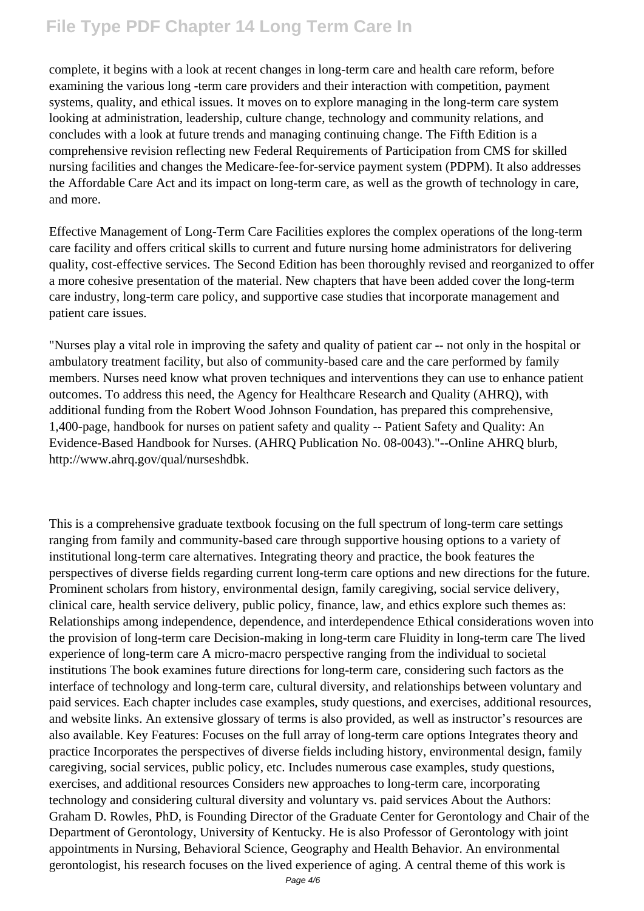complete, it begins with a look at recent changes in long-term care and health care reform, before examining the various long -term care providers and their interaction with competition, payment systems, quality, and ethical issues. It moves on to explore managing in the long-term care system looking at administration, leadership, culture change, technology and community relations, and concludes with a look at future trends and managing continuing change. The Fifth Edition is a comprehensive revision reflecting new Federal Requirements of Participation from CMS for skilled nursing facilities and changes the Medicare-fee-for-service payment system (PDPM). It also addresses the Affordable Care Act and its impact on long-term care, as well as the growth of technology in care, and more.

Effective Management of Long-Term Care Facilities explores the complex operations of the long-term care facility and offers critical skills to current and future nursing home administrators for delivering quality, cost-effective services. The Second Edition has been thoroughly revised and reorganized to offer a more cohesive presentation of the material. New chapters that have been added cover the long-term care industry, long-term care policy, and supportive case studies that incorporate management and patient care issues.

"Nurses play a vital role in improving the safety and quality of patient car -- not only in the hospital or ambulatory treatment facility, but also of community-based care and the care performed by family members. Nurses need know what proven techniques and interventions they can use to enhance patient outcomes. To address this need, the Agency for Healthcare Research and Quality (AHRQ), with additional funding from the Robert Wood Johnson Foundation, has prepared this comprehensive, 1,400-page, handbook for nurses on patient safety and quality -- Patient Safety and Quality: An Evidence-Based Handbook for Nurses. (AHRQ Publication No. 08-0043)."--Online AHRQ blurb, http://www.ahrq.gov/qual/nurseshdbk.

This is a comprehensive graduate textbook focusing on the full spectrum of long-term care settings ranging from family and community-based care through supportive housing options to a variety of institutional long-term care alternatives. Integrating theory and practice, the book features the perspectives of diverse fields regarding current long-term care options and new directions for the future. Prominent scholars from history, environmental design, family caregiving, social service delivery, clinical care, health service delivery, public policy, finance, law, and ethics explore such themes as: Relationships among independence, dependence, and interdependence Ethical considerations woven into the provision of long-term care Decision-making in long-term care Fluidity in long-term care The lived experience of long-term care A micro-macro perspective ranging from the individual to societal institutions The book examines future directions for long-term care, considering such factors as the interface of technology and long-term care, cultural diversity, and relationships between voluntary and paid services. Each chapter includes case examples, study questions, and exercises, additional resources, and website links. An extensive glossary of terms is also provided, as well as instructor's resources are also available. Key Features: Focuses on the full array of long-term care options Integrates theory and practice Incorporates the perspectives of diverse fields including history, environmental design, family caregiving, social services, public policy, etc. Includes numerous case examples, study questions, exercises, and additional resources Considers new approaches to long-term care, incorporating technology and considering cultural diversity and voluntary vs. paid services About the Authors: Graham D. Rowles, PhD, is Founding Director of the Graduate Center for Gerontology and Chair of the Department of Gerontology, University of Kentucky. He is also Professor of Gerontology with joint appointments in Nursing, Behavioral Science, Geography and Health Behavior. An environmental gerontologist, his research focuses on the lived experience of aging. A central theme of this work is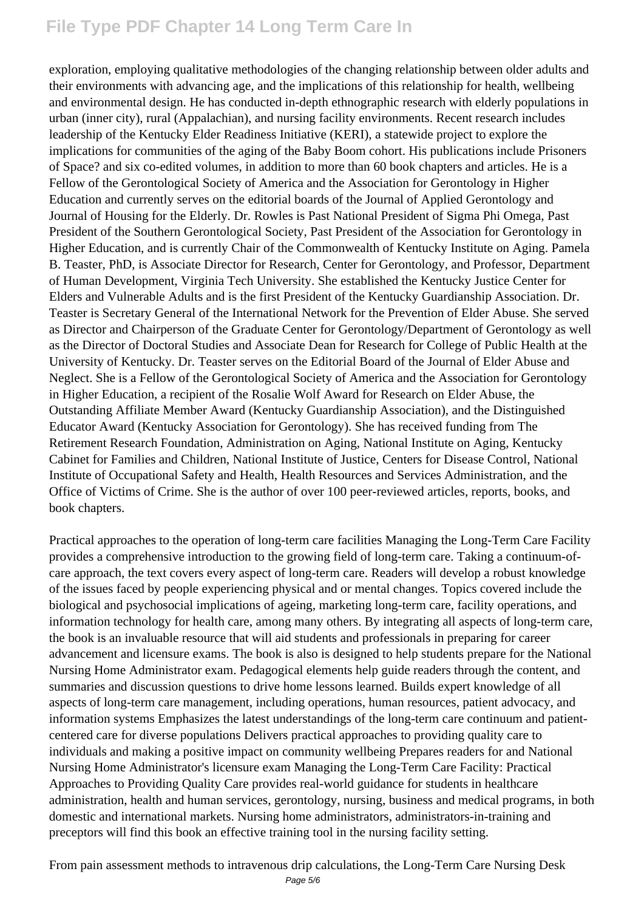exploration, employing qualitative methodologies of the changing relationship between older adults and their environments with advancing age, and the implications of this relationship for health, wellbeing and environmental design. He has conducted in-depth ethnographic research with elderly populations in urban (inner city), rural (Appalachian), and nursing facility environments. Recent research includes leadership of the Kentucky Elder Readiness Initiative (KERI), a statewide project to explore the implications for communities of the aging of the Baby Boom cohort. His publications include Prisoners of Space? and six co-edited volumes, in addition to more than 60 book chapters and articles. He is a Fellow of the Gerontological Society of America and the Association for Gerontology in Higher Education and currently serves on the editorial boards of the Journal of Applied Gerontology and Journal of Housing for the Elderly. Dr. Rowles is Past National President of Sigma Phi Omega, Past President of the Southern Gerontological Society, Past President of the Association for Gerontology in Higher Education, and is currently Chair of the Commonwealth of Kentucky Institute on Aging. Pamela B. Teaster, PhD, is Associate Director for Research, Center for Gerontology, and Professor, Department of Human Development, Virginia Tech University. She established the Kentucky Justice Center for Elders and Vulnerable Adults and is the first President of the Kentucky Guardianship Association. Dr. Teaster is Secretary General of the International Network for the Prevention of Elder Abuse. She served as Director and Chairperson of the Graduate Center for Gerontology/Department of Gerontology as well as the Director of Doctoral Studies and Associate Dean for Research for College of Public Health at the University of Kentucky. Dr. Teaster serves on the Editorial Board of the Journal of Elder Abuse and Neglect. She is a Fellow of the Gerontological Society of America and the Association for Gerontology in Higher Education, a recipient of the Rosalie Wolf Award for Research on Elder Abuse, the Outstanding Affiliate Member Award (Kentucky Guardianship Association), and the Distinguished Educator Award (Kentucky Association for Gerontology). She has received funding from The Retirement Research Foundation, Administration on Aging, National Institute on Aging, Kentucky Cabinet for Families and Children, National Institute of Justice, Centers for Disease Control, National Institute of Occupational Safety and Health, Health Resources and Services Administration, and the Office of Victims of Crime. She is the author of over 100 peer-reviewed articles, reports, books, and book chapters.

Practical approaches to the operation of long-term care facilities Managing the Long-Term Care Facility provides a comprehensive introduction to the growing field of long-term care. Taking a continuum-ofcare approach, the text covers every aspect of long-term care. Readers will develop a robust knowledge of the issues faced by people experiencing physical and or mental changes. Topics covered include the biological and psychosocial implications of ageing, marketing long-term care, facility operations, and information technology for health care, among many others. By integrating all aspects of long-term care, the book is an invaluable resource that will aid students and professionals in preparing for career advancement and licensure exams. The book is also is designed to help students prepare for the National Nursing Home Administrator exam. Pedagogical elements help guide readers through the content, and summaries and discussion questions to drive home lessons learned. Builds expert knowledge of all aspects of long-term care management, including operations, human resources, patient advocacy, and information systems Emphasizes the latest understandings of the long-term care continuum and patientcentered care for diverse populations Delivers practical approaches to providing quality care to individuals and making a positive impact on community wellbeing Prepares readers for and National Nursing Home Administrator's licensure exam Managing the Long-Term Care Facility: Practical Approaches to Providing Quality Care provides real-world guidance for students in healthcare administration, health and human services, gerontology, nursing, business and medical programs, in both domestic and international markets. Nursing home administrators, administrators-in-training and preceptors will find this book an effective training tool in the nursing facility setting.

From pain assessment methods to intravenous drip calculations, the Long-Term Care Nursing Desk